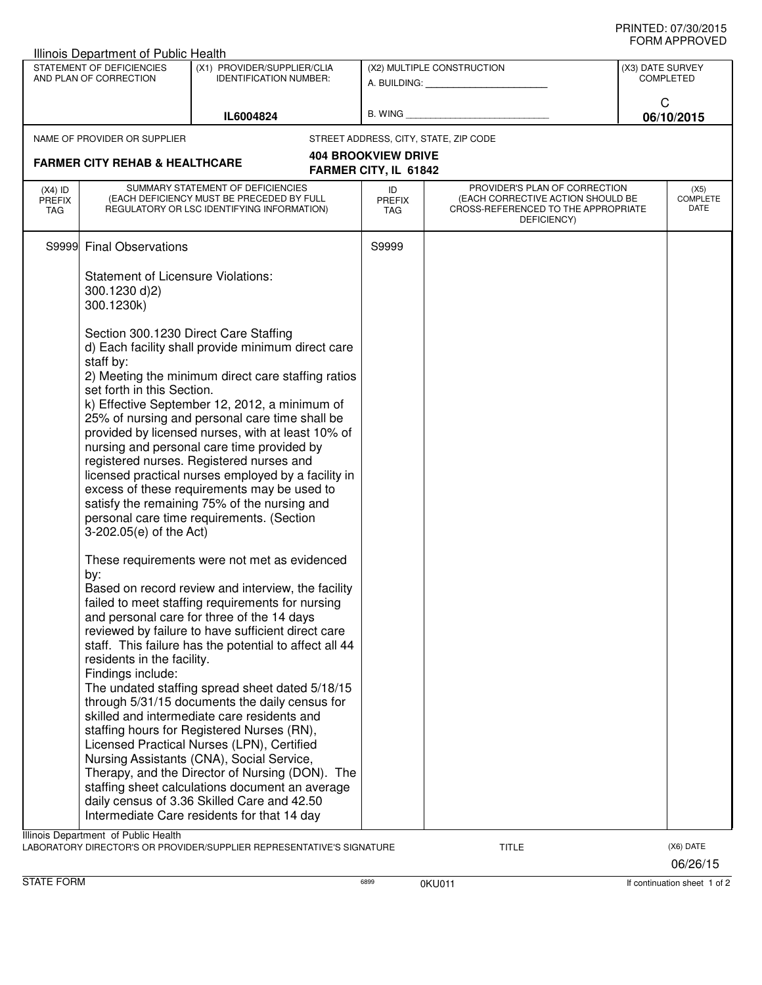| Illinois Department of Public Health                                      |                                                                                                                                                                       |                                                                                                                                                                                                                                                                                                                                                                                                                                                                                                                                                                                                                                                                                                                                                                                                                                                                                                                                                                                            |                            |                                                                                                                          |                                                         |                          |  |  |  |  |  |  |
|---------------------------------------------------------------------------|-----------------------------------------------------------------------------------------------------------------------------------------------------------------------|--------------------------------------------------------------------------------------------------------------------------------------------------------------------------------------------------------------------------------------------------------------------------------------------------------------------------------------------------------------------------------------------------------------------------------------------------------------------------------------------------------------------------------------------------------------------------------------------------------------------------------------------------------------------------------------------------------------------------------------------------------------------------------------------------------------------------------------------------------------------------------------------------------------------------------------------------------------------------------------------|----------------------------|--------------------------------------------------------------------------------------------------------------------------|---------------------------------------------------------|--------------------------|--|--|--|--|--|--|
| STATEMENT OF DEFICIENCIES<br>AND PLAN OF CORRECTION                       |                                                                                                                                                                       | (X1) PROVIDER/SUPPLIER/CLIA<br><b>IDENTIFICATION NUMBER:</b>                                                                                                                                                                                                                                                                                                                                                                                                                                                                                                                                                                                                                                                                                                                                                                                                                                                                                                                               | (X2) MULTIPLE CONSTRUCTION |                                                                                                                          | (X3) DATE SURVEY<br><b>COMPLETED</b><br>C<br>06/10/2015 |                          |  |  |  |  |  |  |
|                                                                           |                                                                                                                                                                       | IL6004824                                                                                                                                                                                                                                                                                                                                                                                                                                                                                                                                                                                                                                                                                                                                                                                                                                                                                                                                                                                  |                            |                                                                                                                          |                                                         |                          |  |  |  |  |  |  |
|                                                                           | NAME OF PROVIDER OR SUPPLIER                                                                                                                                          |                                                                                                                                                                                                                                                                                                                                                                                                                                                                                                                                                                                                                                                                                                                                                                                                                                                                                                                                                                                            |                            | STREET ADDRESS, CITY, STATE, ZIP CODE                                                                                    |                                                         |                          |  |  |  |  |  |  |
| <b>404 BROOKVIEW DRIVE</b>                                                |                                                                                                                                                                       |                                                                                                                                                                                                                                                                                                                                                                                                                                                                                                                                                                                                                                                                                                                                                                                                                                                                                                                                                                                            |                            |                                                                                                                          |                                                         |                          |  |  |  |  |  |  |
| <b>FARMER CITY REHAB &amp; HEALTHCARE</b><br><b>FARMER CITY, IL 61842</b> |                                                                                                                                                                       |                                                                                                                                                                                                                                                                                                                                                                                                                                                                                                                                                                                                                                                                                                                                                                                                                                                                                                                                                                                            |                            |                                                                                                                          |                                                         |                          |  |  |  |  |  |  |
| $(X4)$ ID<br><b>PREFIX</b><br>TAG                                         | SUMMARY STATEMENT OF DEFICIENCIES<br>(EACH DEFICIENCY MUST BE PRECEDED BY FULL<br>REGULATORY OR LSC IDENTIFYING INFORMATION)                                          |                                                                                                                                                                                                                                                                                                                                                                                                                                                                                                                                                                                                                                                                                                                                                                                                                                                                                                                                                                                            | ID<br><b>PREFIX</b><br>TAG | PROVIDER'S PLAN OF CORRECTION<br>(EACH CORRECTIVE ACTION SHOULD BE<br>CROSS-REFERENCED TO THE APPROPRIATE<br>DEFICIENCY) |                                                         | (X5)<br>COMPLETE<br>DATE |  |  |  |  |  |  |
| S9999                                                                     | <b>Final Observations</b>                                                                                                                                             |                                                                                                                                                                                                                                                                                                                                                                                                                                                                                                                                                                                                                                                                                                                                                                                                                                                                                                                                                                                            | S9999                      |                                                                                                                          |                                                         |                          |  |  |  |  |  |  |
|                                                                           | <b>Statement of Licensure Violations:</b><br>300.1230 d)2)<br>300.1230k)                                                                                              |                                                                                                                                                                                                                                                                                                                                                                                                                                                                                                                                                                                                                                                                                                                                                                                                                                                                                                                                                                                            |                            |                                                                                                                          |                                                         |                          |  |  |  |  |  |  |
|                                                                           | Section 300.1230 Direct Care Staffing<br>staff by:<br>set forth in this Section.<br>3-202.05(e) of the Act)<br>by:<br>residents in the facility.<br>Findings include: | d) Each facility shall provide minimum direct care<br>2) Meeting the minimum direct care staffing ratios<br>k) Effective September 12, 2012, a minimum of<br>25% of nursing and personal care time shall be<br>provided by licensed nurses, with at least 10% of<br>nursing and personal care time provided by<br>registered nurses. Registered nurses and<br>licensed practical nurses employed by a facility in<br>excess of these requirements may be used to<br>satisfy the remaining 75% of the nursing and<br>personal care time requirements. (Section<br>These requirements were not met as evidenced<br>Based on record review and interview, the facility<br>failed to meet staffing requirements for nursing<br>and personal care for three of the 14 days<br>reviewed by failure to have sufficient direct care<br>staff. This failure has the potential to affect all 44<br>The undated staffing spread sheet dated 5/18/15<br>through 5/31/15 documents the daily census for |                            |                                                                                                                          |                                                         |                          |  |  |  |  |  |  |
|                                                                           |                                                                                                                                                                       | skilled and intermediate care residents and<br>staffing hours for Registered Nurses (RN),<br>Licensed Practical Nurses (LPN), Certified<br>Nursing Assistants (CNA), Social Service,<br>Therapy, and the Director of Nursing (DON). The<br>staffing sheet calculations document an average<br>daily census of 3.36 Skilled Care and 42.50<br>Intermediate Care residents for that 14 day                                                                                                                                                                                                                                                                                                                                                                                                                                                                                                                                                                                                   |                            |                                                                                                                          |                                                         |                          |  |  |  |  |  |  |
|                                                                           | Illinois Department of Public Health                                                                                                                                  | LABORATORY DIRECTOR'S OR PROVIDER/SUPPLIER REPRESENTATIVE'S SIGNATURE                                                                                                                                                                                                                                                                                                                                                                                                                                                                                                                                                                                                                                                                                                                                                                                                                                                                                                                      |                            | <b>TITLE</b>                                                                                                             |                                                         | (X6) DATE                |  |  |  |  |  |  |